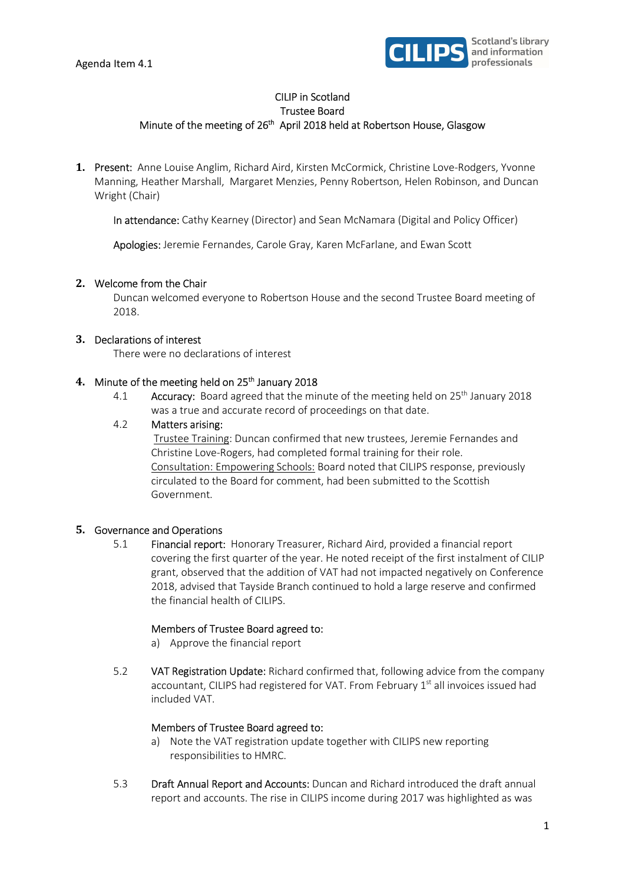

# CILIP in Scotland Trustee Board Minute of the meeting of 26<sup>th</sup> April 2018 held at Robertson House, Glasgow

1. Present: Anne Louise Anglim, Richard Aird, Kirsten McCormick, Christine Love-Rodgers, Yvonne Manning, Heather Marshall, Margaret Menzies, Penny Robertson, Helen Robinson, and Duncan Wright (Chair)

In attendance: Cathy Kearney (Director) and Sean McNamara (Digital and Policy Officer)

Apologies: Jeremie Fernandes, Carole Gray, Karen McFarlane, and Ewan Scott

### 2. Welcome from the Chair

Duncan welcomed everyone to Robertson House and the second Trustee Board meeting of 2018.

### 3. Declarations of interest

There were no declarations of interest

#### 4. Minute of the meeting held on 25<sup>th</sup> January 2018

4.1 Accuracy: Board agreed that the minute of the meeting held on 25<sup>th</sup> January 2018 was a true and accurate record of proceedings on that date.

### 4.2 Matters arising:

 Trustee Training: Duncan confirmed that new trustees, Jeremie Fernandes and Christine Love-Rogers, had completed formal training for their role. Consultation: Empowering Schools: Board noted that CILIPS response, previously circulated to the Board for comment, had been submitted to the Scottish Government.

#### 5. Governance and Operations

5.1 Financial report: Honorary Treasurer, Richard Aird, provided a financial report covering the first quarter of the year. He noted receipt of the first instalment of CILIP grant, observed that the addition of VAT had not impacted negatively on Conference 2018, advised that Tayside Branch continued to hold a large reserve and confirmed the financial health of CILIPS.

#### Members of Trustee Board agreed to:

- a) Approve the financial report
- 5.2 VAT Registration Update: Richard confirmed that, following advice from the company accountant, CILIPS had registered for VAT. From February 1<sup>st</sup> all invoices issued had included VAT.

#### Members of Trustee Board agreed to:

- a) Note the VAT registration update together with CILIPS new reporting responsibilities to HMRC.
- 5.3 Draft Annual Report and Accounts: Duncan and Richard introduced the draft annual report and accounts. The rise in CILIPS income during 2017 was highlighted as was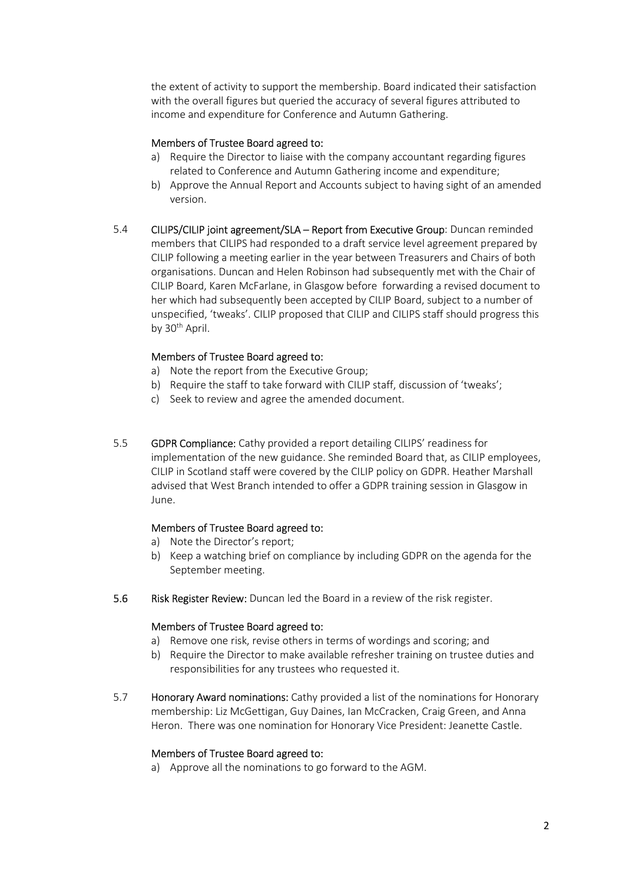the extent of activity to support the membership. Board indicated their satisfaction with the overall figures but queried the accuracy of several figures attributed to income and expenditure for Conference and Autumn Gathering.

# Members of Trustee Board agreed to:

- a) Require the Director to liaise with the company accountant regarding figures related to Conference and Autumn Gathering income and expenditure;
- b) Approve the Annual Report and Accounts subject to having sight of an amended version.
- 5.4 CILIPS/CILIP joint agreement/SLA Report from Executive Group: Duncan reminded members that CILIPS had responded to a draft service level agreement prepared by CILIP following a meeting earlier in the year between Treasurers and Chairs of both organisations. Duncan and Helen Robinson had subsequently met with the Chair of CILIP Board, Karen McFarlane, in Glasgow before forwarding a revised document to her which had subsequently been accepted by CILIP Board, subject to a number of unspecified, 'tweaks'. CILIP proposed that CILIP and CILIPS staff should progress this by 30<sup>th</sup> April.

## Members of Trustee Board agreed to:

- a) Note the report from the Executive Group;
- b) Require the staff to take forward with CILIP staff, discussion of 'tweaks';
- c) Seek to review and agree the amended document.
- 5.5 GDPR Compliance: Cathy provided a report detailing CILIPS' readiness for implementation of the new guidance. She reminded Board that, as CILIP employees, CILIP in Scotland staff were covered by the CILIP policy on GDPR. Heather Marshall advised that West Branch intended to offer a GDPR training session in Glasgow in June.

## Members of Trustee Board agreed to:

- a) Note the Director's report;
- b) Keep a watching brief on compliance by including GDPR on the agenda for the September meeting.
- 5.6 Risk Register Review: Duncan led the Board in a review of the risk register.

#### Members of Trustee Board agreed to:

- a) Remove one risk, revise others in terms of wordings and scoring; and
- b) Require the Director to make available refresher training on trustee duties and responsibilities for any trustees who requested it.
- 5.7 Honorary Award nominations: Cathy provided a list of the nominations for Honorary membership: Liz McGettigan, Guy Daines, Ian McCracken, Craig Green, and Anna Heron. There was one nomination for Honorary Vice President: Jeanette Castle.

#### Members of Trustee Board agreed to:

a) Approve all the nominations to go forward to the AGM.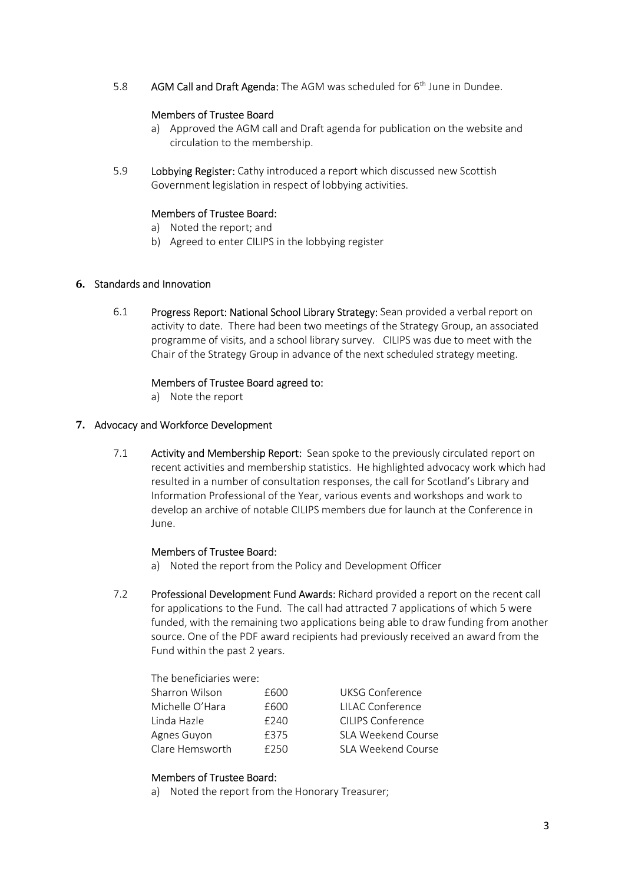5.8 AGM Call and Draft Agenda: The AGM was scheduled for 6<sup>th</sup> June in Dundee.

### Members of Trustee Board

- a) Approved the AGM call and Draft agenda for publication on the website and circulation to the membership.
- 5.9 Lobbying Register: Cathy introduced a report which discussed new Scottish Government legislation in respect of lobbying activities.

### Members of Trustee Board:

- a) Noted the report; and
- b) Agreed to enter CILIPS in the lobbying register

### 6. Standards and Innovation

6.1 Progress Report: National School Library Strategy: Sean provided a verbal report on activity to date. There had been two meetings of the Strategy Group, an associated programme of visits, and a school library survey. CILIPS was due to meet with the Chair of the Strategy Group in advance of the next scheduled strategy meeting.

### Members of Trustee Board agreed to:

a) Note the report

### 7. Advocacy and Workforce Development

7.1 Activity and Membership Report: Sean spoke to the previously circulated report on recent activities and membership statistics. He highlighted advocacy work which had resulted in a number of consultation responses, the call for Scotland's Library and Information Professional of the Year, various events and workshops and work to develop an archive of notable CILIPS members due for launch at the Conference in June.

#### Members of Trustee Board:

- a) Noted the report from the Policy and Development Officer
- 7.2 Professional Development Fund Awards: Richard provided a report on the recent call for applications to the Fund. The call had attracted 7 applications of which 5 were funded, with the remaining two applications being able to draw funding from another source. One of the PDF award recipients had previously received an award from the Fund within the past 2 years.

## The beneficiaries were:

| Sharron Wilson  | £600 | <b>UKSG Conference</b> |
|-----------------|------|------------------------|
| Michelle O'Hara | £600 | LILAC Conference       |
| Linda Hazle     | £240 | CILIPS Conference      |
| Agnes Guyon     | £375 | SLA Weekend Course     |
| Clare Hemsworth | £250 | SLA Weekend Course     |
|                 |      |                        |

#### Members of Trustee Board:

a) Noted the report from the Honorary Treasurer;